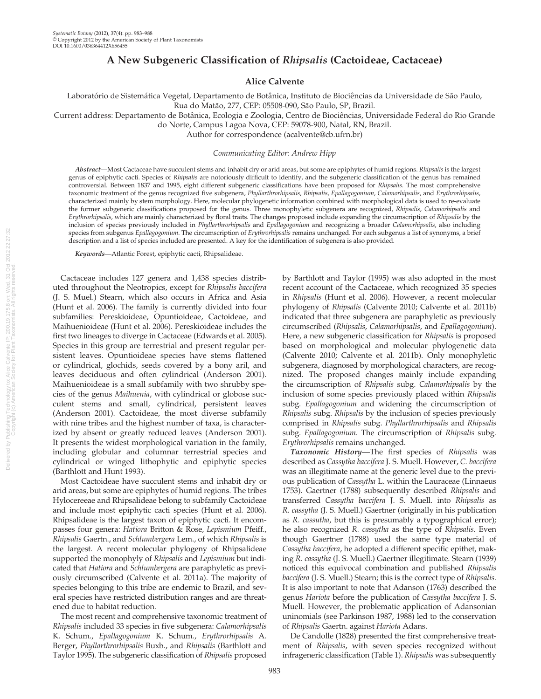# A New Subgeneric Classification of Rhipsalis (Cactoideae, Cactaceae)

## Alice Calvente

Laboratório de Sistemática Vegetal, Departamento de Botânica, Instituto de Biociências da Universidade de São Paulo, Rua do Matão, 277, CEP: 05508-090, São Paulo, SP, Brazil.

Current address: Departamento de Botânica, Ecologia e Zoologia, Centro de Biociências, Universidade Federal do Rio Grande

do Norte, Campus Lagoa Nova, CEP: 59078-900, Natal, RN, Brazil.

Author for correspondence (acalvente@cb.ufrn.br)

#### Communicating Editor: Andrew Hipp

Abstract—Most Cactaceae have succulent stems and inhabit dry or arid areas, but some are epiphytes of humid regions. Rhipsalis is the largest genus of epiphytic cacti. Species of Rhipsalis are notoriously difficult to identify, and the subgeneric classification of the genus has remained controversial. Between 1837 and 1995, eight different subgeneric classifications have been proposed for Rhipsalis. The most comprehensive taxonomic treatment of the genus recognized five subgenera, Phyllarthrorhipsalis, Rhipsalis, Epallagogonium, Calamorhipsalis, and Erythrorhipsalis, characterized mainly by stem morphology. Here, molecular phylogenetic information combined with morphological data is used to re-evaluate the former subgeneric classifications proposed for the genus. Three monophyletic subgenera are recognized, Rhipsalis, Calamorhipsalis and Erythrorhipsalis, which are mainly characterized by floral traits. The changes proposed include expanding the circumscription of Rhipsalis by the inclusion of species previously included in Phyllarthrorhipsalis and Epallagogonium and recognizing a broader Calamorhipsalis, also including species from subgenus Epallagogonium. The circumscription of Erythrorhipsalis remains unchanged. For each subgenus a list of synonyms, a brief description and a list of species included are presented. A key for the identification of subgenera is also provided.

Keywords—Atlantic Forest, epiphytic cacti, Rhipsalideae.

Cactaceae includes 127 genera and 1,438 species distributed throughout the Neotropics, except for Rhipsalis baccifera (J. S. Muel.) Stearn, which also occurs in Africa and Asia (Hunt et al. 2006). The family is currently divided into four subfamilies: Pereskioideae, Opuntioideae, Cactoideae, and Maihuenioideae (Hunt et al. 2006). Pereskioideae includes the first two lineages to diverge in Cactaceae (Edwards et al. 2005). Species in this group are terrestrial and present regular persistent leaves. Opuntioideae species have stems flattened or cylindrical, glochids, seeds covered by a bony aril, and leaves deciduous and often cylindrical (Anderson 2001). Maihuenioideae is a small subfamily with two shrubby species of the genus Maihuenia, with cylindrical or globose succulent stems and small, cylindrical, persistent leaves (Anderson 2001). Cactoideae, the most diverse subfamily with nine tribes and the highest number of taxa, is characterized by absent or greatly reduced leaves (Anderson 2001). It presents the widest morphological variation in the family, including globular and columnar terrestrial species and cylindrical or winged lithophytic and epiphytic species (Barthlott and Hunt 1993).

Most Cactoideae have succulent stems and inhabit dry or arid areas, but some are epiphytes of humid regions. The tribes Hylocereeae and Rhipsalideae belong to subfamily Cactoideae and include most epiphytic cacti species (Hunt et al. 2006). Rhipsalideae is the largest taxon of epiphytic cacti. It encompasses four genera: Hatiora Britton & Rose, Lepismium Pfeiff., Rhipsalis Gaertn., and Schlumbergera Lem., of which Rhipsalis is the largest. A recent molecular phylogeny of Rhipsalideae supported the monophyly of Rhipsalis and Lepismium but indicated that Hatiora and Schlumbergera are paraphyletic as previously circumscribed (Calvente et al. 2011a). The majority of species belonging to this tribe are endemic to Brazil, and several species have restricted distribution ranges and are threatened due to habitat reduction.

The most recent and comprehensive taxonomic treatment of Rhipsalis included 33 species in five subgenera: Calamorhipsalis K. Schum., Epallagogonium K. Schum., Erythrorhipsalis A. Berger, Phyllarthrorhipsalis Buxb., and Rhipsalis (Barthlott and Taylor 1995). The subgeneric classification of Rhipsalis proposed

by Barthlott and Taylor (1995) was also adopted in the most recent account of the Cactaceae, which recognized 35 species in Rhipsalis (Hunt et al. 2006). However, a recent molecular phylogeny of Rhipsalis (Calvente 2010; Calvente et al. 2011b) indicated that three subgenera are paraphyletic as previously circumscribed (Rhipsalis, Calamorhipsalis, and Epallagogonium). Here, a new subgeneric classification for Rhipsalis is proposed based on morphological and molecular phylogenetic data (Calvente 2010; Calvente et al. 2011b). Only monophyletic subgenera, diagnosed by morphological characters, are recognized. The proposed changes mainly include expanding the circumscription of Rhipsalis subg. Calamorhipsalis by the inclusion of some species previously placed within Rhipsalis subg. Epallagogonium and widening the circumscription of Rhipsalis subg. Rhipsalis by the inclusion of species previously comprised in Rhipsalis subg. Phyllarthrorhipsalis and Rhipsalis subg. Epallagogonium. The circumscription of Rhipsalis subg. Erythrorhipsalis remains unchanged.

Taxonomic History-The first species of Rhipsalis was described as Cassytha baccifera J. S. Muell. However, C. baccifera was an illegitimate name at the generic level due to the previous publication of Cassytha L. within the Lauraceae (Linnaeus 1753). Gaertner (1788) subsequently described Rhipsalis and transferred Cassytha baccifera J. S. Muell. into Rhipsalis as R. cassytha (J. S. Muell.) Gaertner (originally in his publication as R. cassutha, but this is presumably a typographical error); he also recognized R. cassytha as the type of Rhipsalis. Even though Gaertner (1788) used the same type material of Cassytha baccifera, he adopted a different specific epithet, making R. cassytha (J. S. Muell.) Gaertner illegitimate. Stearn (1939) noticed this equivocal combination and published Rhipsalis baccifera (J. S. Muell.) Stearn; this is the correct type of Rhipsalis. It is also important to note that Adanson (1763) described the genus Hariota before the publication of Cassytha baccifera J. S. Muell. However, the problematic application of Adansonian uninomials (see Parkinson 1987, 1988) led to the conservation of Rhipsalis Gaertn. against Hariota Adans.

De Candolle (1828) presented the first comprehensive treatment of Rhipsalis, with seven species recognized without infrageneric classification (Table 1). Rhipsalis was subsequently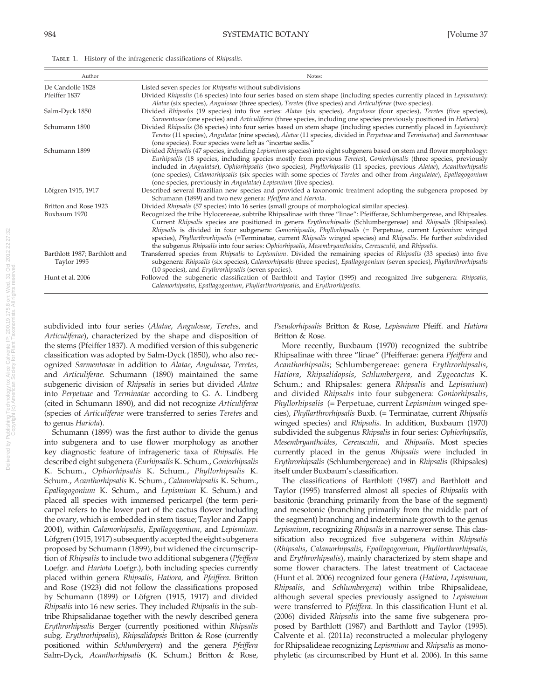| TABLE 1. History of the infrageneric classifications of Rhipsalis. |  |
|--------------------------------------------------------------------|--|
|--------------------------------------------------------------------|--|

| Author                                       | Notes:                                                                                                                                                                                                                                                                                                                                                                                                                                                                                                                                                                                         |
|----------------------------------------------|------------------------------------------------------------------------------------------------------------------------------------------------------------------------------------------------------------------------------------------------------------------------------------------------------------------------------------------------------------------------------------------------------------------------------------------------------------------------------------------------------------------------------------------------------------------------------------------------|
| De Candolle 1828                             | Listed seven species for Rhipsalis without subdivisions                                                                                                                                                                                                                                                                                                                                                                                                                                                                                                                                        |
| Pfeiffer 1837                                | Divided Rhipsalis (16 species) into four series based on stem shape (including species currently placed in Lepismium):<br>Alatae (six species), Angulosae (three species), Teretes (five species) and Articuliferae (two species).                                                                                                                                                                                                                                                                                                                                                             |
| Salm-Dyck 1850                               | Divided Rhipsalis (19 species) into five series: Alatae (six species), Angulosae (four species), Teretes (five species),<br>Sarmentosae (one species) and Articuliferae (three species, including one species previously positioned in Hatiora)                                                                                                                                                                                                                                                                                                                                                |
| Schumann 1890                                | Divided Rhipsalis (36 species) into four series based on stem shape (including species currently placed in Lepismium):<br>Teretes (11 species), Angulatae (nine species), Alatae (11 species, divided in Perpetuae and Terminatae) and Sarmentosae<br>(one species). Four species were left as "incertae sedis."                                                                                                                                                                                                                                                                               |
| Schumann 1899                                | Divided Rhipsalis (47 species, including Lepismium species) into eight subgenera based on stem and flower morphology:<br>Eurhipsalis (18 species, including species mostly from previous Teretes), Goniorhipsalis (three species, previously<br>included in Angulatae), Ophiorhipsalis (two species), Phyllorhipsalis (11 species, previous Alatae), Acanthorhipsalis<br>(one species), Calamorhipsalis (six species with some species of Teretes and other from Angulatae), Epallagogonium<br>(one species, previously in Angulatae) Lepismium (five species).                                |
| Löfgren 1915, 1917                           | Described several Brazilian new species and provided a taxonomic treatment adopting the subgenera proposed by<br>Schumann (1899) and two new genera: Pfeiffera and Hariota.                                                                                                                                                                                                                                                                                                                                                                                                                    |
| Britton and Rose 1923                        | Divided Rhipsalis (57 species) into 16 series (small groups of morphological similar species).                                                                                                                                                                                                                                                                                                                                                                                                                                                                                                 |
| Buxbaum 1970                                 | Recognized the tribe Hylocereeae, subtribe Rhipsalinae with three "linae": Pfeifferae, Schlumbergereae, and Rhipsales.<br>Current Rhipsalis species are positioned in genera Erythrorhipsalis (Schlumbergereae) and Rhipsalis (Rhipsales).<br>Rhipsalis is divided in four subgenera: Goniorhipsalis, Phyllorhipsalis (= Perpetuae, current Lepismium winged<br>species), Phyllarthrorhipsalis (=Terminatae, current Rhipsalis winged species) and Rhipsalis. He further subdivided<br>the subgenus Rhipsalis into four series: Ophiorhipsalis, Mesembryanthoides, Cereusculii, and Rhipsalis. |
| Barthlott 1987; Barthlott and<br>Taylor 1995 | Transferred species from Rhipsalis to Lepismium. Divided the remaining species of Rhipsalis (33 species) into five<br>subgenera: Rhipsalis (six species), Calamorhipsalis (three species), Epallagogonium (seven species), Phyllarthrorhipsalis<br>(10 species), and Erythrorhipsalis (seven species).                                                                                                                                                                                                                                                                                         |
| Hunt et al. 2006                             | Followed the subgeneric classification of Barthlott and Taylor (1995) and recognized five subgenera: Rhipsalis,<br>Calamorhipsalis, Epallagogonium, Phyllarthrorhipsalis, and Erythrorhipsalis.                                                                                                                                                                                                                                                                                                                                                                                                |

# subdivided into four series (Alatae, Angulosae, Teretes, and Articuliferae), characterized by the shape and disposition of the stems (Pfeiffer 1837). A modified version of this subgeneric classification was adopted by Salm-Dyck (1850), who also recognized Sarmentosae in addition to Alatae, Angulosae, Teretes, and Articuliferae. Schumann (1890) maintained the same subgeneric division of Rhipsalis in series but divided Alatae into Perpetuae and Terminatae according to G. A. Lindberg (cited in Schumann 1890), and did not recognize Articuliferae (species of Articuliferae were transferred to series Teretes and to genus Hariota).

Schumann (1899) was the first author to divide the genus into subgenera and to use flower morphology as another key diagnostic feature of infrageneric taxa of Rhipsalis. He described eight subgenera (Eurhipsalis K. Schum., Goniorhipsalis K. Schum., Ophiorhipsalis K. Schum., Phyllorhipsalis K. Schum., Acanthorhipsalis K. Schum., Calamorhipsalis K. Schum., Epallagogonium K. Schum., and Lepismium K. Schum.) and placed all species with immersed pericarpel (the term pericarpel refers to the lower part of the cactus flower including the ovary, which is embedded in stem tissue; Taylor and Zappi 2004), within Calamorhipsalis, Epallagogonium, and Lepismium. Löfgren (1915, 1917) subsequently accepted the eight subgenera proposed by Schumann (1899), but widened the circumscription of Rhipsalis to include two additional subgenera (Pfeiffera Loefgr. and Hariota Loefgr.), both including species currently placed within genera Rhipsalis, Hatiora, and Pfeiffera. Britton and Rose (1923) did not follow the classifications proposed by Schumann (1899) or Löfgren (1915, 1917) and divided Rhipsalis into 16 new series. They included Rhipsalis in the subtribe Rhipsalidanae together with the newly described genera Erythrorhipsalis Berger (currently positioned within Rhipsalis subg. Erythrorhipsalis), Rhipsalidopsis Britton & Rose (currently positioned within Schlumbergera) and the genera Pfeiffera Salm-Dyck, Acanthorhipsalis (K. Schum.) Britton & Rose,

Pseudorhipsalis Britton & Rose, Lepismium Pfeiff. and Hatiora Britton & Rose.

More recently, Buxbaum (1970) recognized the subtribe Rhipsalinae with three "linae" (Pfeifferae: genera Pfeiffera and Acanthorhipsalis; Schlumbergereae: genera Erythrorhipsalis, Hatiora, Rhipsalidopsis, Schlumbergera, and Zygocactus K. Schum.; and Rhipsales: genera Rhipsalis and Lepismium) and divided Rhipsalis into four subgenera: Goniorhipsalis, Phyllorhipsalis (= Perpetuae, current Lepismium winged species), Phyllarthrorhipsalis Buxb. (= Terminatae, current Rhipsalis winged species) and Rhipsalis. In addition, Buxbaum (1970) subdivided the subgenus Rhipsalis in four series: Ophiorhipsalis, Mesembryanthoides, Cereusculii, and Rhipsalis. Most species currently placed in the genus Rhipsalis were included in Erythrorhipsalis (Schlumbergereae) and in Rhipsalis (Rhipsales) itself under Buxbaum's classification.

The classifications of Barthlott (1987) and Barthlott and Taylor (1995) transferred almost all species of Rhipsalis with basitonic (branching primarily from the base of the segment) and mesotonic (branching primarily from the middle part of the segment) branching and indeterminate growth to the genus Lepismium, recognizing Rhipsalis in a narrower sense. This classification also recognized five subgenera within Rhipsalis (Rhipsalis, Calamorhipsalis, Epallagogonium, Phyllarthrorhipsalis, and Erythrorhipsalis), mainly characterized by stem shape and some flower characters. The latest treatment of Cactaceae (Hunt et al. 2006) recognized four genera (Hatiora, Lepismium, Rhipsalis, and Schlumbergera) within tribe Rhipsalideae, although several species previously assigned to Lepismium were transferred to Pfeiffera. In this classification Hunt et al. (2006) divided Rhipsalis into the same five subgenera proposed by Barthlott (1987) and Barthlott and Taylor (1995). Calvente et al. (2011a) reconstructed a molecular phylogeny for Rhipsalideae recognizing Lepismium and Rhipsalis as monophyletic (as circumscribed by Hunt et al. 2006). In this same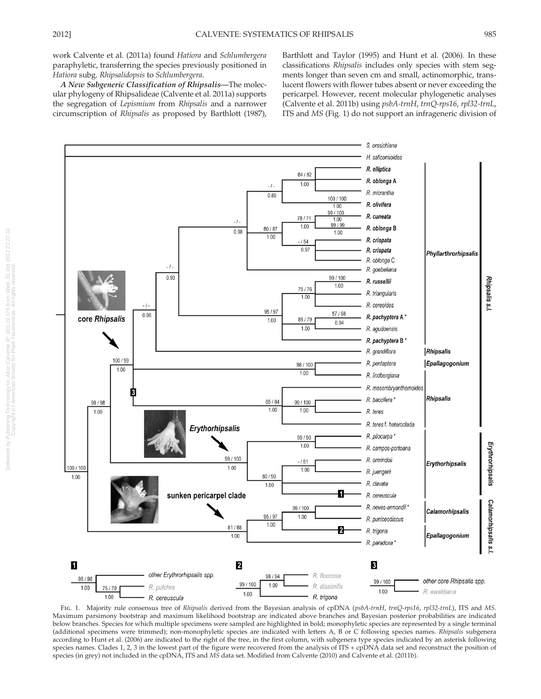work Calvente et al. (2011a) found Hatiora and Schlumbergera paraphyletic, transferring the species previously positioned in Hatiora subg. Rhipsalidopsis to Schlumbergera.

A New Subgeneric Classification of Rhipsalis—The molecular phylogeny of Rhipsalideae (Calvente et al. 2011a) supports the segregation of Lepismium from Rhipsalis and a narrower circumscription of Rhipsalis as proposed by Barthlott (1987), Barthlott and Taylor (1995) and Hunt et al. (2006). In these classifications Rhipsalis includes only species with stem segments longer than seven cm and small, actinomorphic, translucent flowers with flower tubes absent or never exceeding the pericarpel. However, recent molecular phylogenetic analyses (Calvente et al. 2011b) using psbA-trnH, trnQ-rps16, rpl32-trnL, ITS and MS (Fig. 1) do not support an infrageneric division of



FIG. 1. Majority rule consensus tree of Rhipsalis derived from the Bayesian analysis of cpDNA (psbA-trnH, trnQ-rps16, rpl32-trnL), ITS and MS. Maximum parsimony bootstrap and maximum likelihood bootstrap are indicated above branches and Bayesian posterior probabilities are indicated below branches. Species for which multiple specimens were sampled are highlighted in bold; monophyletic species are represented by a single terminal (additional specimens were trimmed); non-monophyletic species are indicated with letters A, B or C following species names. Rhipsalis subgenera according to Hunt et al. (2006) are indicated to the right of the tree, in the first column, with subgenera type species indicated by an asterisk following species names. Clades 1, 2, 3 in the lowest part of the figure were recovered from the analysis of ITS + cpDNA data set and reconstruct the position of species (in grey) not included in the cpDNA, ITS and MS data set. Modified from Calvente (2010) and Calvente et al. (2011b).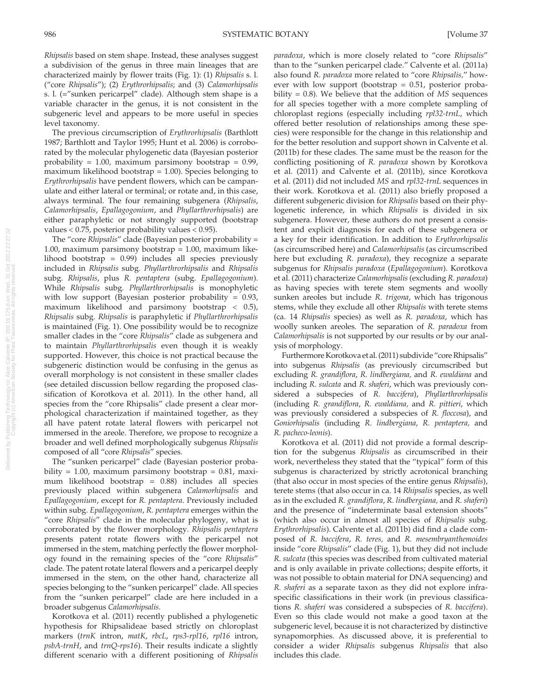Rhipsalis based on stem shape. Instead, these analyses suggest a subdivision of the genus in three main lineages that are characterized mainly by flower traits (Fig. 1): (1) Rhipsalis s. l. ("core Rhipsalis"); (2) Erythrorhipsalis; and (3) Calamorhipsalis s. l. (="sunken pericarpel" clade). Although stem shape is a variable character in the genus, it is not consistent in the subgeneric level and appears to be more useful in species level taxonomy.

The previous circumscription of Erythrorhipsalis (Barthlott 1987; Barthlott and Taylor 1995; Hunt et al. 2006) is corroborated by the molecular phylogenetic data (Bayesian posterior probability =  $1.00$ , maximum parsimony bootstrap =  $0.99$ , maximum likelihood bootstrap = 1.00). Species belonging to Erythrorhipsalis have pendent flowers, which can be campanulate and either lateral or terminal; or rotate and, in this case, always terminal. The four remaining subgenera (Rhipsalis, Calamorhipsalis, Epallagogonium, and Phyllarthrorhipsalis) are either paraphyletic or not strongly supported (bootstrap values < 0.75, posterior probability values < 0.95).

The "core Rhipsalis" clade (Bayesian posterior probability = 1.00, maximum parsimony bootstrap = 1.00, maximum likelihood bootstrap = 0.99) includes all species previously included in Rhipsalis subg. Phyllarthrorhipsalis and Rhipsalis subg. Rhipsalis, plus R. pentaptera (subg. Epallagogonium). While Rhipsalis subg. Phyllarthrorhipsalis is monophyletic with low support (Bayesian posterior probability = 0.93, maximum likelihood and parsimony bootstrap < 0.5), Rhipsalis subg. Rhipsalis is paraphyletic if Phyllarthrorhipsalis is maintained (Fig. 1). One possibility would be to recognize smaller clades in the "core Rhipsalis" clade as subgenera and to maintain Phyllarthrorhipsalis even though it is weakly supported. However, this choice is not practical because the subgeneric distinction would be confusing in the genus as overall morphology is not consistent in these smaller clades (see detailed discussion bellow regarding the proposed classification of Korotkova et al. 2011). In the other hand, all species from the "core Rhipsalis" clade present a clear morphological characterization if maintained together, as they all have patent rotate lateral flowers with pericarpel not immersed in the areole. Therefore, we propose to recognize a broader and well defined morphologically subgenus Rhipsalis composed of all "core Rhipsalis" species.

The "sunken pericarpel" clade (Bayesian posterior probability =  $1.00$ , maximum parsimony bootstrap =  $0.81$ , maximum likelihood bootstrap = 0.88) includes all species previously placed within subgenera Calamorhipsalis and Epallagogonium, except for R. pentaptera. Previously included within subg. Epallagogonium, R. pentaptera emerges within the "core Rhipsalis" clade in the molecular phylogeny, what is corroborated by the flower morphology. Rhipsalis pentaptera presents patent rotate flowers with the pericarpel not immersed in the stem, matching perfectly the flower morphology found in the remaining species of the "core Rhipsalis" clade. The patent rotate lateral flowers and a pericarpel deeply immersed in the stem, on the other hand, characterize all species belonging to the "sunken pericarpel" clade. All species from the "sunken pericarpel" clade are here included in a broader subgenus Calamorhipsalis.

Korotkova et al. (2011) recently published a phylogenetic hypothesis for Rhipsalideae based strictly on chloroplast markers (trnK intron, matK, rbcL, rps3-rpl16, rpl16 intron, psbA-trnH, and trnQ-rps16). Their results indicate a slightly different scenario with a different positioning of Rhipsalis

paradoxa, which is more closely related to "core Rhipsalis" than to the "sunken pericarpel clade." Calvente et al. (2011a) also found R. paradoxa more related to "core Rhipsalis," however with low support (bootstrap  $= 0.51$ , posterior probability  $= 0.8$ ). We believe that the addition of *MS* sequences for all species together with a more complete sampling of chloroplast regions (especially including rpl32-trnL, which offered better resolution of relationships among these species) were responsible for the change in this relationship and for the better resolution and support shown in Calvente et al. (2011b) for these clades. The same must be the reason for the conflicting positioning of R. paradoxa shown by Korotkova et al. (2011) and Calvente et al. (2011b), since Korotkova et al. (2011) did not included MS and rpl32-trnL sequences in their work. Korotkova et al. (2011) also briefly proposed a different subgeneric division for Rhipsalis based on their phylogenetic inference, in which Rhipsalis is divided in six subgenera. However, these authors do not present a consistent and explicit diagnosis for each of these subgenera or a key for their identification. In addition to Erythrorhipsalis (as circumscribed here) and Calamorhipsalis (as circumscribed here but excluding R. paradoxa), they recognize a separate subgenus for Rhipsalis paradoxa (Epallagogonium). Korotkova et al. (2011) characterize Calamorhipsalis (excluding R. paradoxa) as having species with terete stem segments and woolly sunken areoles but include R. trigona, which has trigonous stems, while they exclude all other Rhipsalis with terete stems (ca. 14 Rhipsalis species) as well as R. paradoxa, which has woolly sunken areoles. The separation of R. paradoxa from Calamorhipsalis is not supported by our results or by our analysis of morphology.

Furthermore Korotkova et al. (2011) subdivide "core Rhipsalis" into subgenus Rhipsalis (as previously circumscribed but excluding R. grandiflora, R. lindbergiana, and R. ewaldiana and including R. sulcata and R. shaferi, which was previously considered a subspecies of R. baccifera), Phyllarthrorhipsalis (including R. grandiflora, R. ewaldiana, and R. pittieri, which was previously considered a subspecies of R. floccosa), and Goniorhipsalis (including R. lindbergiana, R. pentaptera, and R. pacheco-leonis).

Korotkova et al. (2011) did not provide a formal description for the subgenus Rhipsalis as circumscribed in their work, nevertheless they stated that the "typical" form of this subgenus is characterized by strictly acrotonical branching (that also occur in most species of the entire genus Rhipsalis), terete stems (that also occur in ca. 14 Rhipsalis species, as well as in the excluded R. grandiflora, R. lindbergiana, and R. shaferi) and the presence of "indeterminate basal extension shoots" (which also occur in almost all species of Rhipsalis subg. Erythrorhipsalis). Calvente et al. (2011b) did find a clade composed of R. baccifera, R. teres, and R. mesembryanthemoides inside "core Rhipsalis" clade (Fig. 1), but they did not include R. sulcata (this species was described from cultivated material and is only available in private collections; despite efforts, it was not possible to obtain material for DNA sequencing) and R. shaferi as a separate taxon as they did not explore infraspecific classifications in their work (in previous classifications R. shaferi was considered a subspecies of R. baccifera). Even so this clade would not make a good taxon at the subgeneric level, because it is not characterized by distinctive synapomorphies. As discussed above, it is preferential to consider a wider Rhipsalis subgenus Rhipsalis that also includes this clade.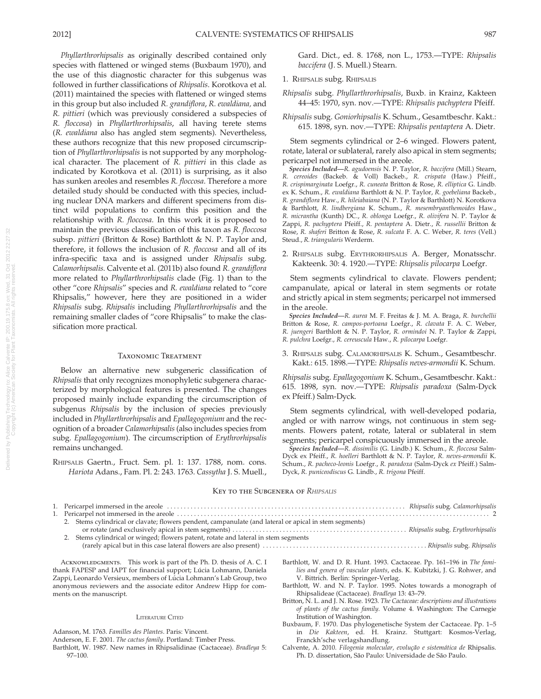Phyllarthrorhipsalis as originally described contained only species with flattened or winged stems (Buxbaum 1970), and the use of this diagnostic character for this subgenus was followed in further classifications of Rhipsalis. Korotkova et al. (2011) maintained the species with flattened or winged stems in this group but also included R. grandiflora, R. ewaldiana, and R. pittieri (which was previously considered a subspecies of R. floccosa) in Phyllarthrorhipsalis, all having terete stems (R. ewaldiana also has angled stem segments). Nevertheless, these authors recognize that this new proposed circumscription of Phyllarthrorhipsalis is not supported by any morphological character. The placement of R. pittieri in this clade as indicated by Korotkova et al. (2011) is surprising, as it also has sunken areoles and resembles R. floccosa. Therefore a more detailed study should be conducted with this species, including nuclear DNA markers and different specimens from distinct wild populations to confirm this position and the relationship with R. floccosa. In this work it is proposed to maintain the previous classification of this taxon as R. floccosa subsp. pittieri (Britton & Rose) Barthlott & N. P. Taylor and, therefore, it follows the inclusion of R. floccosa and all of its infra-specific taxa and is assigned under Rhipsalis subg. Calamorhipsalis. Calvente et al. (2011b) also found R. grandiflora more related to Phyllarthrorhipsalis clade (Fig. 1) than to the other "core Rhipsalis" species and R. ewaldiana related to "core Rhipsalis," however, here they are positioned in a wider Rhipsalis subg. Rhipsalis including Phyllarthrorhipsalis and the remaining smaller clades of "core Rhipsalis" to make the classification more practical.

### Taxonomic Treatment

Below an alternative new subgeneric classification of Rhipsalis that only recognizes monophyletic subgenera characterized by morphological features is presented. The changes proposed mainly include expanding the circumscription of subgenus Rhipsalis by the inclusion of species previously included in Phyllarthrorhipsalis and Epallagogonium and the recognition of a broader Calamorhipsalis (also includes species from subg. Epallagogonium). The circumscription of Erythrorhipsalis remains unchanged.

RHIPSALIS Gaertn., Fruct. Sem. pl. 1: 137. 1788, nom. cons. Hariota Adans., Fam. Pl. 2: 243. 1763. Cassytha J. S. Muell., Gard. Dict., ed. 8. 1768, non L., 1753.—TYPE: Rhipsalis baccifera (J. S. Muell.) Stearn.

### 1. RHIPSALIS subg. RHIPSALIS

Rhipsalis subg. Phyllarthrorhipsalis, Buxb. in Krainz, Kakteen 44–45: 1970, syn. nov.—TYPE: Rhipsalis pachyptera Pfeiff.

Rhipsalis subg. Goniorhipsalis K. Schum., Gesamtbeschr. Kakt.: 615. 1898, syn. nov.—TYPE: Rhipsalis pentaptera A. Dietr.

Stem segments cylindrical or 2–6 winged. Flowers patent, rotate, lateral or sublateral, rarely also apical in stem segments; pericarpel not immersed in the areole.

Species Included—R. agudoensis N. P. Taylor, R. baccifera (Mill.) Stearn, R. cereoides (Backeb. & Voll) Backeb., R. crispata (Haw.) Pfeiff., R. crispimarginata Loefgr., R. cuneata Britton & Rose, R. elliptica G. Lindb. ex K. Schum., R. ewaldiana Barthlott & N. P. Taylor, R. goebeliana Backeb., R. grandiflora Haw., R. hileiabaiana (N. P. Taylor & Barthlott) N. Korotkova & Barthlott, R. lindbergiana K. Schum., R. mesembryanthemoides Haw., R. micrantha (Kunth) DC., R. oblonga Loefgr., R. olivifera N. P. Taylor & Zappi, R. pachyptera Pfeiff., R. pentaptera A. Dietr., R. russellii Britton & Rose, R. shaferi Britton & Rose, R. sulcata F. A. C. Weber, R. teres (Vell.) Steud., R. triangularis Werderm.

2. RHIPSALIS subg. ERYTHRORHIPSALIS A. Berger, Monatsschr. Kakteenk. 30: 4. 1920.—TYPE: Rhipsalis pilocarpa Loefgr.

Stem segments cylindrical to clavate. Flowers pendent; campanulate, apical or lateral in stem segments or rotate and strictly apical in stem segments; pericarpel not immersed in the areole.

Species Included—R. aurea M. F. Freitas & J. M. A. Braga, R. burchellii Britton & Rose, R. campos-portoana Loefgr., R. clavata F. A. C. Weber, R. juengeri Barthlott & N. P. Taylor, R. ormindoi N. P. Taylor & Zappi, R. pulchra Loefgr., R. cereuscula Haw., R. pilocarpa Loefgr.

3. RHIPSALIS subg. CALAMORHIPSALIS K. Schum., Gesamtbeschr. Kakt.: 615. 1898.—TYPE: Rhipsalis neves-armondii K. Schum.

Rhipsalis subg. Epallagogonium K. Schum., Gesamtbeschr. Kakt.: 615. 1898, syn. nov.—TYPE: Rhipsalis paradoxa (Salm-Dyck ex Pfeiff.) Salm-Dyck.

Stem segments cylindrical, with well-developed podaria, angled or with narrow wings, not continuous in stem segments. Flowers patent, rotate, lateral or sublateral in stem segments; pericarpel conspicuously immersed in the areole.

Species Included—R. dissimilis (G. Lindb.) K. Schum., R. floccosa Salm-Dyck ex Pfeiff., R. hoelleri Barthlott & N. P. Taylor, R. neves-armondii K. Schum., R. pacheco-leonis Loefgr., R. paradoxa (Salm-Dyck ex Pfeiff.) Salm-Dyck, R. puniceodiscus G. Lindb., R. trigona Pfeiff.

#### KEY TO THE SUBGENERA OF RHIPSALIS

| 2. Stems cylindrical or clavate; flowers pendent, campanulate (and lateral or apical in stem segments) |  |
|--------------------------------------------------------------------------------------------------------|--|
|                                                                                                        |  |
| 2. Stems cylindrical or winged; flowers patent, rotate and lateral in stem segments                    |  |
|                                                                                                        |  |
|                                                                                                        |  |

ACKNOWLEDGMENTS. This work is part of the Ph. D. thesis of A. C. I thank FAPESP and IAPT for financial support; Lúcia Lohmann, Daniela Zappi, Leonardo Versieux, members of Lúcia Lohmann's Lab Group, two anonymous reviewers and the associate editor Andrew Hipp for comments on the manuscript.

#### LITERATURE CITED

- Adanson, M. 1763. Familles des Plantes. Paris: Vincent.
- Anderson, E. F. 2001. The cactus family. Portland: Timber Press.
- Barthlott, W. 1987. New names in Rhipsalidinae (Cactaceae). Bradleya 5: 97–100.
- Barthlott, W. and D. R. Hunt. 1993. Cactaceae. Pp. 161–196 in The families and genera of vascular plants, eds. K. Kubitzki, J. G. Rohwer, and V. Bittrich. Berlin: Springer-Verlag.
- Barthlott, W. and N. P. Taylor. 1995. Notes towards a monograph of Rhipsalideae (Cactaceae). Bradleya 13: 43–79.
- Britton, N. L. and J. N. Rose. 1923. The Cactaceae: descriptions and illustrations of plants of the cactus family. Volume 4. Washington: The Carnegie Institution of Washington.
- Buxbaum, F. 1970. Das phylogenetische System der Cactaceae. Pp. 1–5 in Die Kakteen, ed. H. Krainz. Stuttgart: Kosmos-Verlag, Franckh'sche verlagshandlung.
- Calvente, A. 2010. Filogenia molecular, evolução e sistemática de Rhipsalis. Ph. D. dissertation, São Paulo: Universidade de São Paulo.